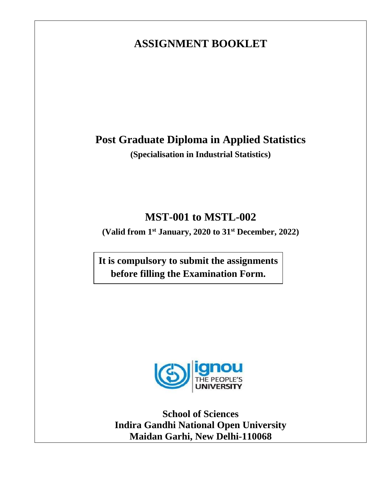# **ASSIGNMENT BOOKLET**

# **Post Graduate Diploma in Applied Statistics**

**(Specialisation in Industrial Statistics)**

# **MST-001 to MSTL-002**

**(Valid from 1st January, 2020 to 31 st December, 2022)**

**It is compulsory to submit the assignments before filling the Examination Form.**



**School of Sciences Indira Gandhi National Open University Maidan Garhi, New Delhi-110068**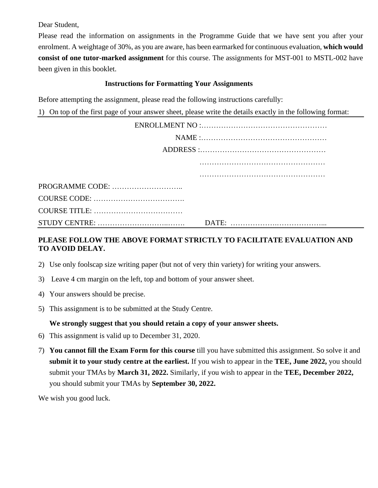Dear Student,

Please read the information on assignments in the Programme Guide that we have sent you after your enrolment. A weightage of 30%, as you are aware, has been earmarked for continuous evaluation, **which would consist of one tutor-marked assignment** for this course. The assignments for MST-001 to MSTL-002 have been given in this booklet.

### **Instructions for Formatting Your Assignments**

Before attempting the assignment, please read the following instructions carefully:

1) On top of the first page of your answer sheet, please write the details exactly in the following format:

# **PLEASE FOLLOW THE ABOVE FORMAT STRICTLY TO FACILITATE EVALUATION AND TO AVOID DELAY.**

- 2) Use only foolscap size writing paper (but not of very thin variety) for writing your answers.
- 3) Leave 4 cm margin on the left, top and bottom of your answer sheet.
- 4) Your answers should be precise.
- 5) This assignment is to be submitted at the Study Centre.

## **We strongly suggest that you should retain a copy of your answer sheets.**

- 6) This assignment is valid up to December 31, 2020.
- 7) **You cannot fill the Exam Form for this course** till you have submitted this assignment. So solve it and **submit it to your study centre at the earliest.** If you wish to appear in the **TEE, June 2022,** you should submit your TMAs by **March 31, 2022.** Similarly, if you wish to appear in the **TEE, December 2022,**  you should submit your TMAs by **September 30, 2022.**

We wish you good luck.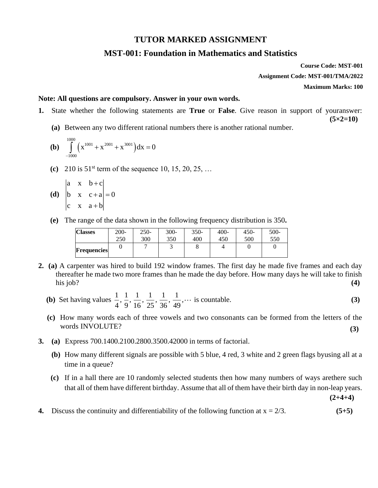### **TUTOR MARKED ASSIGNMENT**

## **MST-001: Foundation in Mathematics and Statistics**

**Course Code: MST-001 Assignment Code: MST-001/TMA/2022 Maximum Marks: 100**

**(5×2=10)**

#### **Note: All questions are compulsory. Answer in your own words.**

- **1.** State whether the following statements are **True** or **False**. Give reason in support of youranswer:
	- **(a)** Between any two different rational numbers there is another rational number.
	- **(b)**  $\int_{0}^{1000} (x^{1001} + x^{2001} + x^{3001})$ 1001 2001 3001 1000  $x^{1001} + x^{2001} + x^{3001} dx = 0$  $\int_{-1000} (x^{1001} + x^{2001} + x^{3001}) dx =$
	- **(c)** 210 is 51st term of the sequence 10, 15, 20, 25, …

(d) 
$$
\begin{vmatrix} a & x & b+c \ b & x & c+a \ c & x & a+b \end{vmatrix} = 0
$$

**(e)** The range of the data shown in the following frequency distribution is 350**.**

| <b>Classes</b>     | $200 -$ | $250-$ | $300 -$ | $350-$ | $400 -$ | 450- | $500-$ |
|--------------------|---------|--------|---------|--------|---------|------|--------|
|                    | 250     | 300    | 350     | 400    | 450     | 500  | 550    |
| <b>Frequencies</b> |         |        |         |        |         |      |        |

- **2. (a)** A carpenter was hired to build 192 window frames. The first day he made five frames and each day thereafter he made two more frames than he made the day before. How many days he will take to finish his job? **(4)**
	- **(b)** Set having values  $\frac{1}{1}, \frac{1}{2}, \frac{1}{3}, \frac{1}{2}, \frac{1}{3}, \frac{1}{4}$  $\frac{1}{4}, \frac{1}{9}, \frac{1}{16}, \frac{1}{25}, \frac{1}{36}, \frac{1}{49}, \cdots$  is countable. **(3)**
	- **(c)** How many words each of three vowels and two consonants can be formed from the letters of the words INVOLUTE? **(3)**
- **3. (a)** Express 700.1400.2100.2800.3500.42000 in terms of factorial.
	- **(b)** How many different signals are possible with 5 blue, 4 red, 3 white and 2 green flags byusing all at a time in a queue?
	- **(c)** If in a hall there are 10 randomly selected students then how many numbers of ways arethere such that all of them have different birthday. Assume that all of them have their birth day in non-leap years.

**(2+4+4)**

**4.** Discuss the continuity and differentiability of the following function at  $x = \frac{2}{3}$ . (5+5)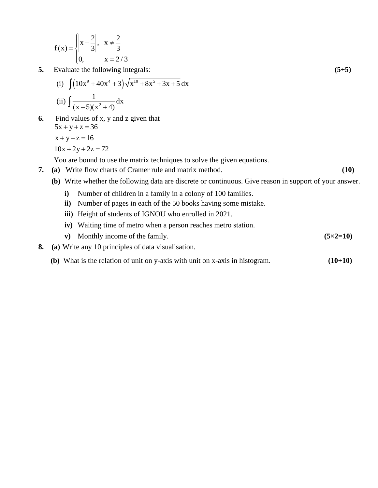$$
f(x) = \begin{cases} \left| x - \frac{2}{3} \right|, & x \neq \frac{2}{3} \\ 0, & x = 2/3 \end{cases}
$$

**5.** Evaluate the following integrals: **(5+5)**

(i) 
$$
\int (10x^9 + 40x^4 + 3)\sqrt{x^{10} + 8x^5 + 3x + 5} dx
$$
  
\n(ii)  $\int \frac{1}{(x-5)(x^2+4)} dx$ 

**6.** Find values of x, y and z given that  $5x + y + z = 36$  $x + y + z = 16$ 

$$
10x + 2y + 2z = 72
$$

You are bound to use the matrix techniques to solve the given equations.

- **7. (a)** Write flow charts of Cramer rule and matrix method. **(10)**
	-
	- **(b)** Write whether the following data are discrete or continuous. Give reason in support of your answer.
		- **i)** Number of children in a family in a colony of 100 families.
		- **ii)** Number of pages in each of the 50 books having some mistake.
		- **iii)** Height of students of IGNOU who enrolled in 2021.
		- **iv)** Waiting time of metro when a person reaches metro station.
		- **v)** Monthly income of the family. **(5×2=10)**
- **8. (a)** Write any 10 principles of data visualisation.
	- **(b)** What is the relation of unit on y-axis with unit on x-axis in histogram. **(10+10)**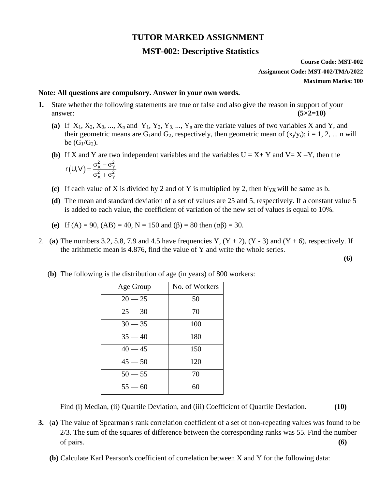# **TUTOR MARKED ASSIGNMENT**

# **MST-002: Descriptive Statistics**

**Course Code: MST-002 Assignment Code: MST-002/TMA/2022 Maximum Marks: 100**

#### **Note: All questions are compulsory. Answer in your own words.**

- **1.** State whether the following statements are true or false and also give the reason in support of your  $\alpha$  answer:  $(5 \times 2 = 10)$ 
	- (a) If  $X_1, X_2, X_3, \ldots, X_n$  and  $Y_1, Y_2, Y_3, \ldots, Y_n$  are the variate values of two variables X and Y, and their geometric means are G<sub>1</sub>and G<sub>2</sub>, respectively, then geometric mean of  $(x_i/y_i)$ ;  $i = 1, 2, ...$  n will be  $(G_1/G_2)$ .
	- **(b)** If X and Y are two independent variables and the variables  $U = X + Y$  and  $V = X Y$ , then the  $(U, V) = \frac{\sigma_X^2 - \sigma_Y^2}{2}$  $x^{2} + \sigma_{Y}^{2}$  $r(U, V) = \frac{\sigma_X^2 - \sigma_Y^2}{\sigma_Y^2 + \sigma_Y^2}$
	- **(c)** If each value of X is divided by 2 and of Y is multiplied by 2, then  $b'_{YX}$  will be same as b.
	- **(d)** The mean and standard deviation of a set of values are 25 and 5, respectively. If a constant value 5 is added to each value, the coefficient of variation of the new set of values is equal to 10%.
	- **(e)** If  $(A) = 90$ ,  $(AB) = 40$ ,  $N = 150$  and  $(\beta) = 80$  then  $(\alpha\beta) = 30$ .
- 2. (a) The numbers 3.2, 5.8, 7.9 and 4.5 have frequencies Y,  $(Y + 2)$ ,  $(Y 3)$  and  $(Y + 6)$ , respectively. If the arithmetic mean is 4.876, find the value of Y and write the whole series.

**(6)**

| Age Group | No. of Workers |
|-----------|----------------|
| $20 - 25$ | 50             |
| $25 - 30$ | 70             |
| $30 - 35$ | 100            |
| $35 - 40$ | 180            |
| $40 - 45$ | 150            |
| $45 - 50$ | 120            |
| $50 - 55$ | 70             |
| $55 - 60$ | 60             |
|           |                |

(**b)** The following is the distribution of age (in years) of 800 workers:

Find (i) Median, (ii) Quartile Deviation, and (iii) Coefficient of Quartile Deviation. **(10)**

- **3.** (**a)** The value of Spearman's rank correlation coefficient of a set of non-repeating values was found to be 2/3. The sum of the squares of difference between the corresponding ranks was 55. Find the number of pairs. **(6)**
	- **(b)** Calculate Karl Pearson's coefficient of correlation between X and Y for the following data: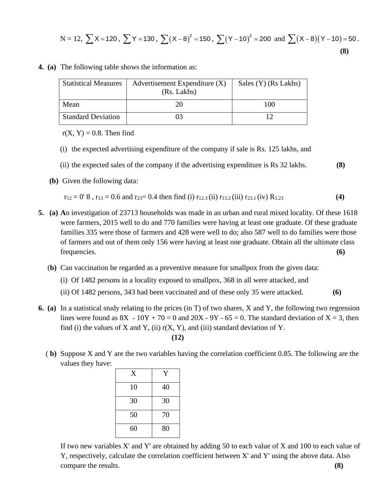$$
N = 12, \ \sum X = 120, \ \sum Y = 130, \ \sum (X - 8)^2 = 150, \ \sum (Y - 10)^2 = 200 \ \text{and} \ \sum (X - 8)(Y - 10) = 50 \,.
$$
\n(8)

| <b>Statistical Measures</b> | Advertisement Expenditure (X)<br>(Rs. Lakhs) |     |
|-----------------------------|----------------------------------------------|-----|
| Mean                        | 20                                           | 100 |
| <b>Standard Deviation</b>   | 03                                           |     |

**4. (a)** The following table shows the information as:

 $r(X, Y) = 0.8$ . Then find

- (i) the expected advertising expenditure of the company if sale is Rs. 125 lakhs, and
- (ii) the expected sales of the company if the advertising expenditure is Rs 32 lakhs. **(8)**
- **(b)** Given the following data:

$$
r_{12} = 0'
$$
 8,  $r_{13} = 0.6$  and  $r_{23} = 0.4$  then find (i)  $r_{12.3}$  (ii)  $r_{13.2}$  (iii)  $r_{23.1}$  (iv)  $R_{1.23}$  (4)

- **5. (a) A**n investigation of 23713 households was made in an urban and rural mixed locality. Of these 1618 were farmers, 2015 well to do and 770 families were having at least one graduate. Of these graduate families 335 were those of farmers and 428 were well to do; also 587 well to do families were those of farmers and out of them only 156 were having at least one graduate. Obtain all the ultimate class frequencies. **(6)**
	- (**b)** Can vaccination be regarded as a preventive measure for smallpox from the given data:
		- (i) Of 1482 persons in a locality exposed to smallpox, 368 in all were attacked, and
		- (ii) Of 1482 persons, 343 had been vaccinated and of these only 35 were attacked. **(6)**
- **6. (a)** In a statistical study relating to the prices (in T) of two shares, X and Y, the following two regression lines were found as  $8X - 10Y + 70 = 0$  and  $20X - 9Y - 65 = 0$ . The standard deviation of  $X = 3$ , then find (i) the values of X and Y, (ii)  $r(X, Y)$ , and (iii) standard deviation of Y. **(12)**
	- ( **b)** Suppose X and Y are the two variables having the correlation coefficient 0.85. The following are the values they have:

| X  | Y  |
|----|----|
| 10 | 40 |
| 30 | 30 |
| 50 | 70 |
| 60 | 80 |

If two new variables X' and Y' are obtained by adding 50 to each value of X and 100 to each value of Y, respectively, calculate the correlation coefficient between X' and Y' using the above data. Also compare the results. **(8)**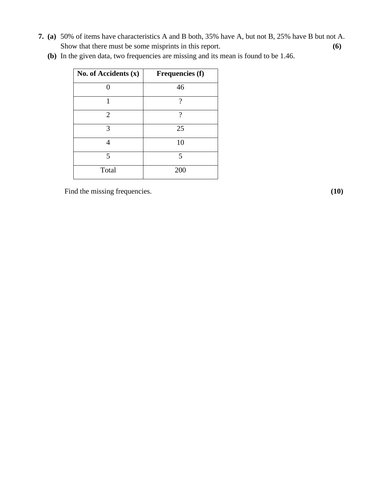**7. (a)** 50% of items have characteristics A and B both, 35% have A, but not B, 25% have B but not A. Show that there must be some misprints in this report. **(6)**

| No. of Accidents $(x)$ | <b>Frequencies (f)</b> |
|------------------------|------------------------|
|                        | 46                     |
| 1                      | ?                      |
| $\overline{2}$         | ?                      |
| 3                      | 25                     |
|                        | 10                     |
| 5                      | $\overline{5}$         |
| Total                  | 200                    |

 **(b)** In the given data, two frequencies are missing and its mean is found to be 1.46.

Find the missing frequencies. **(10)** (10)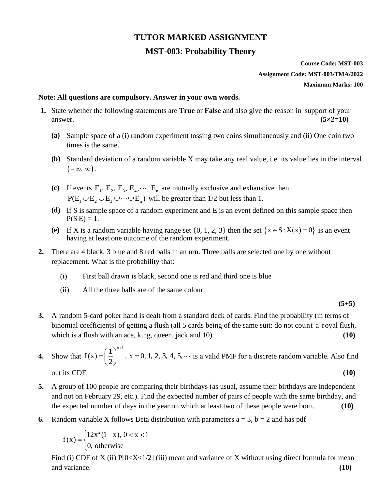# **TUTOR MARKED ASSIGNMENT**

# **MST-003: Probability Theory**

# **Course Code: MST-003 Assignment Code: MST-003/TMA/2022 Maximum Marks: 100**

#### **Note: All questions are compulsory. Answer in your own words.**

- **1.** State whether the following statements are **True** or **False** and also give the reason in support of your  $\alpha$  answer. **(5×2=10)** 
	- **(a)** Sample space of a (i) random experiment tossing two coins simultaneously and (ii) One coin two times is the same.
	- **(b)** Standard deviation of a random variable X may take any real value, i.e. its value lies in the interval  $(-\infty, \infty)$ .
	- (c) If events  $E_1, E_2, E_3, E_4, \dots, E_n$  are mutually exclusive and exhaustive then  $P(E_1 \cup E_2 \cup E_3 \cup \cdots \cup E_n)$  will be greater than 1/2 but less than 1.
	- **(d)** If S is sample space of a random experiment and E is an event defined on this sample space then  $P(S|E) = 1$ .
	- (e) If X is a random variable having range set  $\{0, 1, 2, 3\}$  then the set  $\{x \in S : X(x) = 0\}$  is an event having at least one outcome of the random experiment.
- **2.** There are 4 black, 3 blue and 8 red balls in an urn. Three balls are selected one by one without replacement. What is the probability that:
	- (i) First ball drawn is black, second one is red and third one is blue
	- (ii) All the three balls are of the same colour

#### **(5+5)**

- **3.** A random 5-card poker hand is dealt from a standard deck of cards. Find the probability (in terms of binomial coefficients) of getting a flush (all 5 cards being of the same suit: do not count a royal flush, which is a flush with an ace, king, queen, jack and 10). **(10)**
- **4.** Show that  $1^{\lambda^{x+1}}$  $f(x) = \left(\frac{1}{2}\right)$ ,  $x = 0, 1, 2, 3, 4, 5,$  $=\left(\frac{1}{2}\right)^{x+1}$ , x = 0, 1, 2, 3, 4, 5,  $\cdots$  is a valid PMF for a discrete random variable. Also find out its CDF. **(10)**

- **5.** A group of 100 people are comparing their birthdays (as usual, assume their birthdays are independent and not on February 29, etc.). Find the expected number of pairs of people with the same birthday, and the expected number of days in the year on which at least two of these people were born. **(10)**
- **6.** Random variable X follows Beta distribution with parameters  $a = 3$ ,  $b = 2$  and has pdf

$$
f(x) = \begin{cases} 12x^2(1-x), & 0 < x < 1 \\ 0, & \text{otherwise} \end{cases}
$$

Find (i) CDF of X (ii)  $P[0 < X < 1/2]$  (iii) mean and variance of X without using direct formula for mean and variance. **(10)**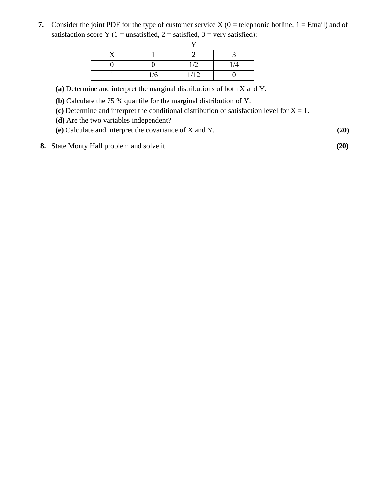**7.** Consider the joint PDF for the type of customer service  $X(0)$  = telephonic hotline,  $1 =$  Email) and of satisfaction score Y (1 = unsatisfied, 2 = satisfied, 3 = very satisfied):

| $\overline{ }$ |      |     |  |  |
|----------------|------|-----|--|--|
|                |      |     |  |  |
|                | 1/2  | 1/4 |  |  |
| 1/6            | 1/12 |     |  |  |

**(a)** Determine and interpret the marginal distributions of both X and Y.

**(b)** Calculate the 75 % quantile for the marginal distribution of Y.

(c) Determine and interpret the conditional distribution of satisfaction level for  $X = 1$ .

**(d)** Are the two variables independent?

**(e)** Calculate and interpret the covariance of X and Y. **(20)**

**8.** State Monty Hall problem and solve it. **(20)**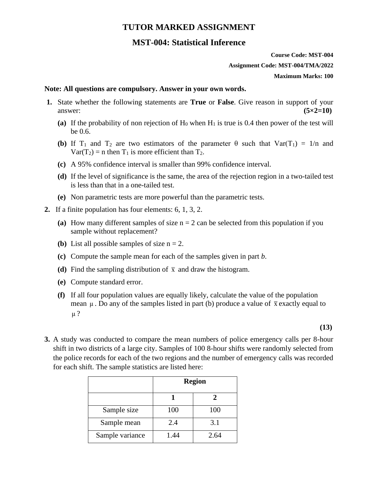# **TUTOR MARKED ASSIGNMENT**

# **MST-004: Statistical Inference**

**Course Code: MST-004 Assignment Code: MST-004/TMA/2022 Maximum Marks: 100**

#### **Note: All questions are compulsory. Answer in your own words.**

- **1.** State whether the following statements are **True** or **False**. Give reason in support of your  $\alpha$  answer:  $(5 \times 2 = 10)$ 
	- (a) If the probability of non rejection of  $H_0$  when  $H_1$  is true is 0.4 then power of the test will be 0.6.
	- **(b)** If T<sub>1</sub> and T<sub>2</sub> are two estimators of the parameter  $\theta$  such that  $Var(T_1) = 1/n$  and  $Var(T_2) = n$  then  $T_1$  is more efficient than  $T_2$ .
	- **(c)** A 95% confidence interval is smaller than 99% confidence interval.
	- **(d)** If the level of significance is the same, the area of the rejection region in a two-tailed test is less than that in a one-tailed test.
	- **(e)** Non parametric tests are more powerful than the parametric tests.
- **2.** If a finite population has four elements: 6, 1, 3, 2.
	- (a) How many different samples of size  $n = 2$  can be selected from this population if you sample without replacement?
	- **(b)** List all possible samples of size  $n = 2$ .
	- **(c)** Compute the sample mean for each of the samples given in part *b*.
	- (d) Find the sampling distribution of  $\bar{x}$  and draw the histogram.
	- **(e)** Compute standard error.
	- **(f)** If all four population values are equally likely, calculate the value of the population mean  $\mu$ . Do any of the samples listed in part (b) produce a value of  $\bar{x}$  exactly equal to μ ?

**(13)**

**3.** A study was conducted to compare the mean numbers of police emergency calls per 8-hour shift in two districts of a large city. Samples of 100 8-hour shifts were randomly selected from the police records for each of the two regions and the number of emergency calls was recorded for each shift. The sample statistics are listed here:

|                 | <b>Region</b> |      |  |
|-----------------|---------------|------|--|
|                 |               | 2    |  |
| Sample size     | 100           | 100  |  |
| Sample mean     | 2.4           | 3.1  |  |
| Sample variance | 1.44          | 2.64 |  |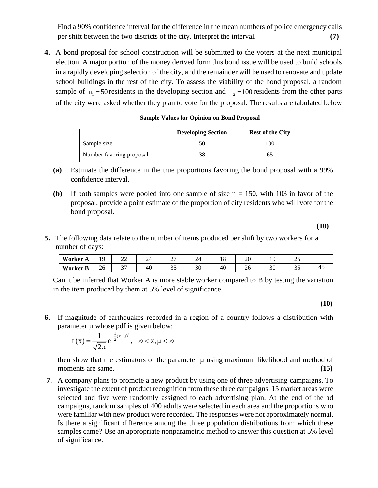Find a 90% confidence interval for the difference in the mean numbers of police emergency calls per shift between the two districts of the city. Interpret the interval. **(7)**

**4.** A bond proposal for school construction will be submitted to the voters at the next municipal election. A major portion of the money derived form this bond issue will be used to build schools in a rapidly developing selection of the city, and the remainder will be used to renovate and update school buildings in the rest of the city. To assess the viability of the bond proposal, a random sample of  $n_1 = 50$  residents in the developing section and  $n_2 = 100$  residents from the other parts of the city were asked whether they plan to vote for the proposal. The results are tabulated below

|                          | <b>Developing Section</b> | <b>Rest of the City</b> |
|--------------------------|---------------------------|-------------------------|
| Sample size              |                           | 100                     |
| Number favoring proposal |                           |                         |

#### **Sample Values for Opinion on Bond Proposal**

- **(a)** Estimate the difference in the true proportions favoring the bond proposal with a 99% confidence interval.
- **(b)** If both samples were pooled into one sample of size  $n = 150$ , with 103 in favor of the proposal, provide a point estimate of the proportion of city residents who will vote for the bond proposal.

 **(10)** 

**5.** The following data relate to the number of items produced per shift by two workers for a number of days:

| Worker $\sim$ | $\Omega$<br>. . | oσ<br>--<br>__ | ⌒<br>- 1 | ∸ | ∽        | 10 | ററ<br>ZU | . . | ت |     |
|---------------|-----------------|----------------|----------|---|----------|----|----------|-----|---|-----|
| Worker L      | Zb              | $\sim$<br>້    | 40       | ັ | οc<br>υc | 40 | ∠∪       | ು   | ັ | . . |

Can it be inferred that Worker A is more stable worker compared to B by testing the variation in the item produced by them at 5% level of significance.

**(10)**

**6.** If magnitude of earthquakes recorded in a region of a country follows a distribution with parameter  $\mu$  whose pdf is given below:

$$
f(x) = \frac{1}{\sqrt{2\pi}} e^{-\frac{1}{2}(x-\mu)^2}, -\infty < x, \mu < \infty
$$

then show that the estimators of the parameter  $\mu$  using maximum likelihood and method of moments are same. **(15) (15)** 

**7.** A company plans to promote a new product by using one of three advertising campaigns. To investigate the extent of product recognition from these three campaigns, 15 market areas were selected and five were randomly assigned to each advertising plan. At the end of the ad campaigns, random samples of 400 adults were selected in each area and the proportions who were familiar with new product were recorded. The responses were not approximately normal. Is there a significant difference among the three population distributions from which these samples came? Use an appropriate nonparametric method to answer this question at 5% level of significance.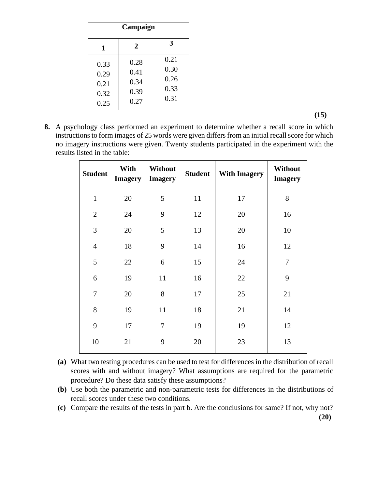| Campaign                             |                                      |                                      |  |  |  |  |  |
|--------------------------------------|--------------------------------------|--------------------------------------|--|--|--|--|--|
| 1                                    | 2                                    | 3                                    |  |  |  |  |  |
| 0.33<br>0.29<br>0.21<br>0.32<br>0.25 | 0.28<br>0.41<br>0.34<br>0.39<br>0.27 | 0.21<br>0.30<br>0.26<br>0.33<br>0.31 |  |  |  |  |  |

**(15)**

**8.** A psychology class performed an experiment to determine whether a recall score in which instructions to form images of 25 words were given differs from an initial recall score for which no imagery instructions were given. Twenty students participated in the experiment with the results listed in the table:

| <b>Student</b> | With<br><b>Imagery</b> | Without<br><b>Imagery</b> | <b>Student</b> | <b>With Imagery</b> | Without<br><b>Imagery</b> |
|----------------|------------------------|---------------------------|----------------|---------------------|---------------------------|
| $\mathbf{1}$   | 20                     | 5                         | 11             | 17                  | 8                         |
| $\overline{2}$ | 24                     | 9                         | 12             | 20                  | 16                        |
| 3              | 20                     | 5                         | 13             | 20                  | 10                        |
| $\overline{4}$ | 18                     | 9                         | 14             | 16                  | 12                        |
| 5              | 22                     | 6                         | 15             | 24                  | $\overline{7}$            |
| 6              | 19                     | 11                        | 16             | 22                  | 9                         |
| $\overline{7}$ | 20                     | 8                         | 17             | 25                  | 21                        |
| 8              | 19                     | 11                        | 18             | 21                  | 14                        |
| 9              | 17                     | $\overline{7}$            | 19             | 19                  | 12                        |
| 10             | 21                     | 9                         | 20             | 23                  | 13                        |

**(a)** What two testing procedures can be used to test for differences in the distribution of recall scores with and without imagery? What assumptions are required for the parametric procedure? Do these data satisfy these assumptions?

**(b)** Use both the parametric and non-parametric tests for differences in the distributions of recall scores under these two conditions.

**(c)** Compare the results of the tests in part b. Are the conclusions for same? If not, why not?  **(20)**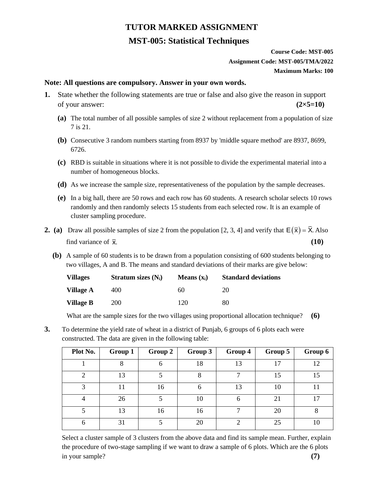# **TUTOR MARKED ASSIGNMENT**

# **MST-005: Statistical Techniques**

## **Course Code: MST-005 Assignment Code: MST-005/TMA/2022 Maximum Marks: 100**

#### **Note: All questions are compulsory. Answer in your own words.**

- **1.** State whether the following statements are true or false and also give the reason in support of your answer:  $(2 \times 5=10)$ 
	- **(a)** The total number of all possible samples of size 2 without replacement from a population of size 7 is 21.
	- **(b)** Consecutive 3 random numbers starting from 8937 by 'middle square method' are 8937, 8699, 6726.
	- **(c)** RBD is suitable in situations where it is not possible to divide the experimental material into a number of homogeneous blocks.
	- **(d)** As we increase the sample size, representativeness of the population by the sample decreases.
	- **(e)** In a big hall, there are 50 rows and each row has 60 students. A research scholar selects 10 rows randomly and then randomly selects 15 students from each selected row. It is an example of cluster sampling procedure.
- **2.** (a) Draw all possible samples of size 2 from the population [2, 3, 4] and verify that  $E(\bar{x}) = \bar{X}$ . Also find variance of  $\bar{x}$ . **(10)**
	- **(b)** A sample of 60 students is to be drawn from a population consisting of 600 students belonging to two villages, A and B. The means and standard deviations of their marks are give below:

| <b>Villages</b> | Stratum sizes $(N_i)$ | Means $(x_i)$ | <b>Standard deviations</b> |
|-----------------|-----------------------|---------------|----------------------------|
| Village A       | 400                   | 60            | 20                         |
| Village B       | 200                   | 120           | 80                         |

What are the sample sizes for the two villages using proportional allocation technique? **(6)**

**3.** To determine the yield rate of wheat in a district of Punjab, 6 groups of 6 plots each were constructed. The data are given in the following table:

| Plot No. | Group 1 | Group 2 | Group 3 | Group 4 | Group 5         | Group 6 |
|----------|---------|---------|---------|---------|-----------------|---------|
|          |         |         | 18      | 13      | $\overline{17}$ | 12      |
| 2        | 13      |         | 8       |         | 15              | 15      |
| 3        | 11      | 16      | 6       | 13      | 10              |         |
| 4        | 26      |         | 10      | 6       | 21              | 17      |
|          | 13      | 16      | 16      |         | 20              | 8       |
| 6        | 31      |         | 20      |         | 25              | 10      |

Select a cluster sample of 3 clusters from the above data and find its sample mean. Further, explain the procedure of two-stage sampling if we want to draw a sample of 6 plots. Which are the 6 plots in your sample? **(7)**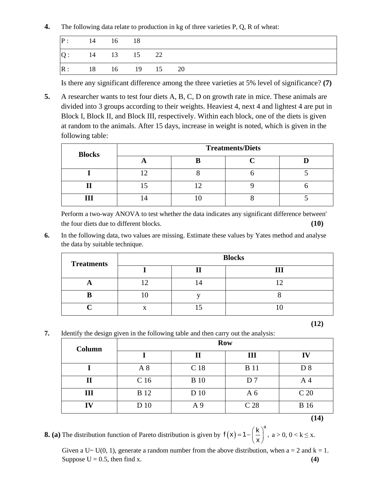**4.** The following data relate to production in kg of three varieties P, Q, R of wheat:

| P:                | 14 16 18       |  |  |  |  |  |
|-------------------|----------------|--|--|--|--|--|
| $ Q:$ 14 13 15 22 |                |  |  |  |  |  |
| $\mathbb{R}$ :    | 18 16 19 15 20 |  |  |  |  |  |

Is there any significant difference among the three varieties at 5% level of significance? **(7)**

**5.** A researcher wants to test four diets A, B, C, D on growth rate in mice. These animals are divided into 3 groups according to their weights. Heaviest 4, next 4 and lightest 4 are put in Block I, Block II, and Block III, respectively. Within each block, one of the diets is given at random to the animals. After 15 days, increase in weight is noted, which is given in the following table:

| <b>Blocks</b> | <b>Treatments/Diets</b> |  |  |  |  |  |  |  |
|---------------|-------------------------|--|--|--|--|--|--|--|
|               |                         |  |  |  |  |  |  |  |
|               |                         |  |  |  |  |  |  |  |
|               |                         |  |  |  |  |  |  |  |
|               |                         |  |  |  |  |  |  |  |

Perform a two-way ANOVA to test whether the data indicates any significant difference between' the four diets due to different blocks. **(10)**

**6.** In the following data, two values are missing. Estimate these values by Yates method and analyse the data by suitable technique.

| <b>Treatments</b> | <b>Blocks</b> |  |  |  |  |  |  |
|-------------------|---------------|--|--|--|--|--|--|
|                   |               |  |  |  |  |  |  |
|                   |               |  |  |  |  |  |  |
|                   |               |  |  |  |  |  |  |
|                   |               |  |  |  |  |  |  |

- **(12)**
- **7.** Identify the design given in the following table and then carry out the analysis:

| Column       | <b>Row</b>      |                 |                 |                 |  |  |  |
|--------------|-----------------|-----------------|-----------------|-----------------|--|--|--|
|              |                 | $\mathbf H$     | III             | IV              |  |  |  |
|              | A8              | C <sub>18</sub> | <b>B</b> 11     | D <sub>8</sub>  |  |  |  |
| $\mathbf{I}$ | C <sub>16</sub> | <b>B</b> 10     | D <sub>7</sub>  | Α4              |  |  |  |
| III          | <b>B</b> 12     | D 10            | A <sub>6</sub>  | C <sub>20</sub> |  |  |  |
| IV           | D 10            | A 9             | C <sub>28</sub> | <b>B</b> 16     |  |  |  |
|              |                 |                 |                 | (14)            |  |  |  |

**8. (a)** The distribution function of Pareto distribution is given by  $f(x) = 1 - \left(\frac{k}{x}\right)^a$ ,  $= 1 - \left(\frac{k}{x}\right)^a$ ,  $a > 0, 0 < k \leq x$ .

Given a  $U \sim U(0, 1)$ , generate a random number from the above distribution, when  $a = 2$  and  $k = 1$ . Suppose  $U = 0.5$ , then find x. **(4)** (4)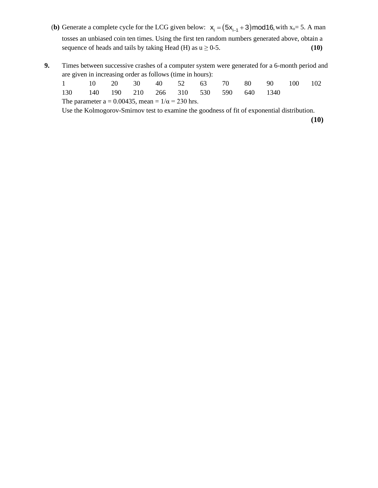- (**b**) Generate a complete cycle for the LCG given below:  $x_i = (5x_{i-1} + 3) \text{mod } 16$ , with  $x_0 = 5$ . A man tosses an unbiased coin ten times. Using the first ten random numbers generated above, obtain a sequence of heads and tails by taking Head (H) as  $u \ge 0$ -5. **(10)**
- **9.** Times between successive crashes of a computer system were generated for a 6-month period and are given in increasing order as follows (time in hours):

| 1 10 20 30 40 52 63 70 80 90 100 102                                                                                                                                  |  |  |  |  |  |
|-----------------------------------------------------------------------------------------------------------------------------------------------------------------------|--|--|--|--|--|
| 130 140 190 210 266 310 530 590 640 1340                                                                                                                              |  |  |  |  |  |
| The parameter $a = 0.00435$ , mean = $1/\alpha = 230$ hrs.                                                                                                            |  |  |  |  |  |
| $\mathbf{r}$ and $\mathbf{r}$ and $\mathbf{r}$ and $\mathbf{r}$ and $\mathbf{r}$ and $\mathbf{r}$ and $\mathbf{r}$ and $\mathbf{r}$ and $\mathbf{r}$ and $\mathbf{r}$ |  |  |  |  |  |

Use the Kolmogorov-Smirnov test to examine the goodness of fit of exponential distribution.

**(10)**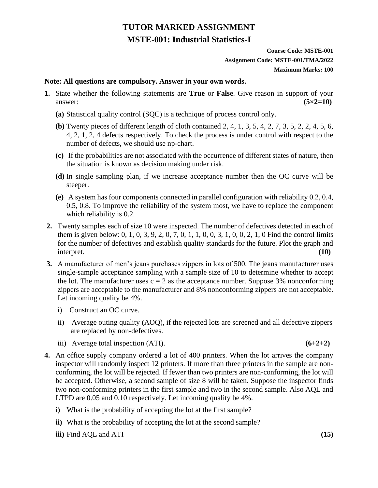# **TUTOR MARKED ASSIGNMENT MSTE-001: Industrial Statistics-I**

## **Course Code: MSTE-001 Assignment Code: MSTE-001/TMA/2022 Maximum Marks: 100**

#### **Note: All questions are compulsory. Answer in your own words.**

- **1.** State whether the following statements are **True** or **False**. Give reason in support of your  $\alpha$  answer:  $(5 \times 2 = 10)$ 
	- **(a)** Statistical quality control (SQC) is a technique of process control only.
	- **(b)** Twenty pieces of different length of cloth contained 2, 4, 1, 3, 5, 4, 2, 7, 3, 5, 2, 2, 4, 5, 6, 4, 2, 1, 2, 4 defects respectively. To check the process is under control with respect to the number of defects, we should use np-chart.
	- **(c)** If the probabilities are not associated with the occurrence of different states of nature, then the situation is known as decision making under risk.
	- **(d)** In single sampling plan, if we increase acceptance number then the OC curve will be steeper.
	- **(e)** A system has four components connected in parallel configuration with reliability 0.2, 0.4, 0.5, 0.8. To improve the reliability of the system most, we have to replace the component which reliability is 0.2.
- **2.** Twenty samples each of size 10 were inspected. The number of defectives detected in each of them is given below: 0, 1, 0, 3, 9, 2, 0, 7, 0, 1, 1, 0, 0, 3, 1, 0, 0, 2, 1, 0 Find the control limits for the number of defectives and establish quality standards for the future. Plot the graph and interpret. **(10)**
- **3.** A manufacturer of men's jeans purchases zippers in lots of 500. The jeans manufacturer uses single-sample acceptance sampling with a sample size of 10 to determine whether to accept the lot. The manufacturer uses  $c = 2$  as the acceptance number. Suppose 3% nonconforming zippers are acceptable to the manufacturer and 8% nonconforming zippers are not acceptable. Let incoming quality be 4%.
	- i) Construct an OC curve.
	- ii) Average outing quality **(**AOQ), if the rejected lots are screened and all defective zippers are replaced by non-defectives.
	- iii) Average total inspection  $(ATI)$ .  $(6+2+2)$

- **4.** An office supply company ordered a lot of 400 printers. When the lot arrives the company inspector will randomly inspect 12 printers. If more than three printers in the sample are nonconforming, the lot will be rejected. If fewer than two printers are non-conforming, the lot will be accepted. Otherwise, a second sample of size 8 will be taken. Suppose the inspector finds two non-conforming printers in the first sample and two in the second sample. Also AQL and LTPD are 0.05 and 0.10 respectively. Let incoming quality be 4%.
	- **i**) What is the probability of accepting the lot at the first sample?
	- **ii**) What is the probability of accepting the lot at the second sample?
	- **iii)** Find AQL and ATI **(15)**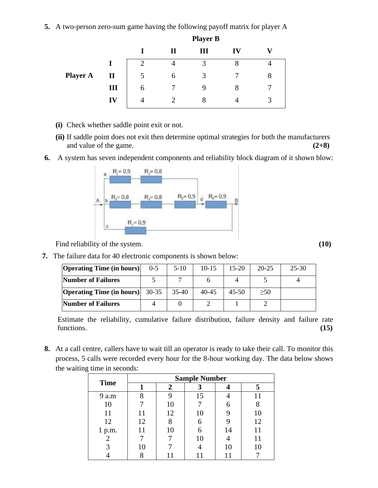**5.** A two-person zero-sum game having the following payoff matrix for player A

|                 |              | <b>Player B</b>             |              |   |    |   |  |
|-----------------|--------------|-----------------------------|--------------|---|----|---|--|
|                 |              |                             | $\mathbf{I}$ | Ш | IV |   |  |
|                 |              | $\mathcal{D}_{\mathcal{L}}$ |              | 3 | 8  |   |  |
| <b>Player A</b> | $\mathbf{I}$ | 5                           | 6            | 3 |    | 8 |  |
|                 | Ш            | 6                           |              |   | 8  |   |  |
|                 | IV           | 4                           |              | 8 |    | 3 |  |

- **(i)** Check whether saddle point exit or not.
- **(ii)** If saddle point does not exit then determine optimal strategies for both the manufacturers and value of the game. **(2+8)**
- **6.** A system has seven independent components and reliability block diagram of it shown blow:



Find reliability of the system. **(10)** The system of the system of the system of the system of the system of the system of the system of the system of the system of the system of the system of the system of the system of t

**7.** The failure data for 40 electronic components is shown below:

| <b>Operating Time (in hours)</b> | $0 - 5$   | $5-10$  | $10-15$   | $15-20$   | $20 - 25$ | $25 - 30$ |
|----------------------------------|-----------|---------|-----------|-----------|-----------|-----------|
| <b>Number of Failures</b>        |           |         |           |           |           |           |
| <b>Operating Time (in hours)</b> | $30 - 35$ | $35-40$ | $40 - 45$ | $45 - 50$ | >50       |           |
| <b>Number of Failures</b>        |           |         |           |           |           |           |

Estimate the reliability, cumulative failure distribution, failure density and failure rate functions. **(15)**

**8.** At a call centre, callers have to wait till an operator is ready to take their call. To monitor this process, 5 calls were recorded every hour for the 8-hour working day. The data below shows the waiting time in seconds:

| <b>Time</b> | <b>Sample Number</b> |    |    |    |    |  |  |  |
|-------------|----------------------|----|----|----|----|--|--|--|
|             |                      |    |    |    |    |  |  |  |
| 9 a.m       | 8                    |    | 15 |    |    |  |  |  |
| 10          |                      | 10 |    | 6  |    |  |  |  |
| 11          |                      | 12 | 10 |    | 10 |  |  |  |
| 12          | 12                   | 8  |    | 9  | 12 |  |  |  |
| 1 p.m.      | 11                   | 10 |    | 14 | 11 |  |  |  |
|             |                      |    | 10 |    |    |  |  |  |
|             | 10                   |    |    | 10 |    |  |  |  |
|             |                      |    |    |    |    |  |  |  |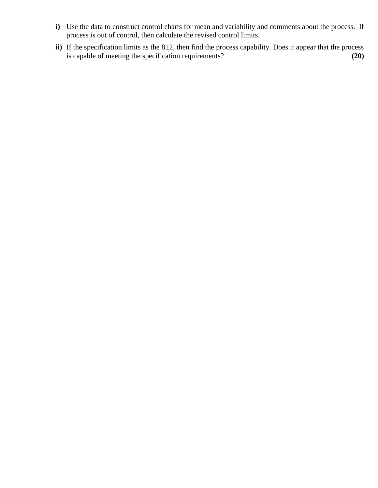- **i)** Use the data to construct control charts for mean and variability and comments about the process. If process is out of control, then calculate the revised control limits.
- **ii**) If the specification limits as the 8±2, then find the process capability. Does it appear that the process is capable of meeting the specification requirements? **(20)**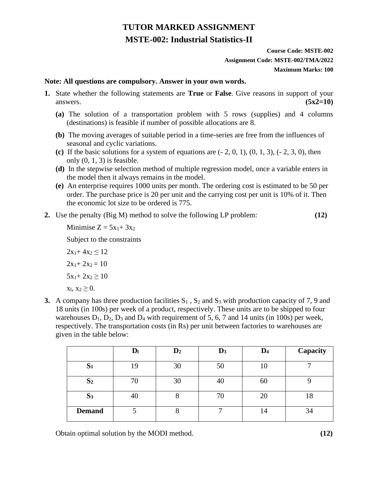# **TUTOR MARKED ASSIGNMENT MSTE-002: Industrial Statistics-II**

# **Course Code: MSTE-002 Assignment Code: MSTE-002/TMA/2022 Maximum Marks: 100**

#### **Note: All questions are compulsory. Answer in your own words.**

- **1.** State whether the following statements are **True** or **False**. Give reasons in support of your answers.  $(5x2=10)$ 
	- **(a)** The solution of a transportation problem with 5 rows (supplies) and 4 columns (destinations) is feasible if number of possible allocations are 8.
	- **(b)** The moving averages of suitable period in a time-series are free from the influences of seasonal and cyclic variations.
	- (c) If the basic solutions for a system of equations are  $(-2, 0, 1)$ ,  $(0, 1, 3)$ ,  $(-2, 3, 0)$ , then only  $(0, 1, 3)$  is feasible.
	- **(d)** In the stepwise selection method of multiple regression model, once a variable enters in the model then it always remains in the model.
	- **(e)** An enterprise requires 1000 units per month. The ordering cost is estimated to be 50 per order. The purchase price is 20 per unit and the carrying cost per unit is 10% of it. Then the economic lot size to be ordered is 775.
- **2.** Use the penalty (Big M) method to solve the following LP problem: **(12)**

Minimise  $Z = 5x_1 + 3x_2$ 

Subject to the constraints

 $2x_1+4x_2 \le 12$  $2x_1+2x_2=10$  $5x_1 + 2x_2 \ge 10$  $x_1, x_2 \geq 0.$ 

**3.** A company has three production facilities  $S_1$ ,  $S_2$  and  $S_3$  with production capacity of 7, 9 and 18 units (in 100s) per week of a product, respectively. These units are to be shipped to four warehouses  $D_1$ ,  $D_2$ ,  $D_3$  and  $D_4$  with requirement of 5, 6, 7 and 14 units (in 100s) per week, respectively. The transportation costs (in Rs) per unit between factories to warehouses are given in the table below:

|                | D <sub>l</sub> | $\mathbf{D}_2$ | $\mathbf{D}_3$ | $\mathbf{D}_4$ | Capacity |
|----------------|----------------|----------------|----------------|----------------|----------|
| S <sub>1</sub> | 19             | 30             | 50             | 10             |          |
| S <sub>2</sub> | 70             | 30             | 40             | 60             |          |
| S <sub>3</sub> | 40             | O              | 70             | 20             | 18       |
| <b>Demand</b>  |                |                |                | 14             | 34       |

Obtain optimal solution by the MODI method. **(12)**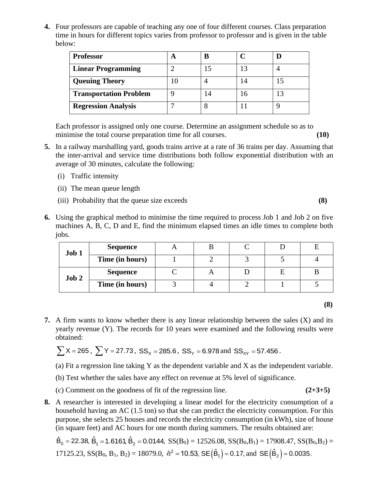**4.** Four professors are capable of teaching any one of four different courses. Class preparation time in hours for different topics varies from professor to professor and is given in the table below:

| <b>Professor</b>              | В |    |  |
|-------------------------------|---|----|--|
| <b>Linear Programming</b>     |   | 13 |  |
| <b>Queuing Theory</b>         |   | 14 |  |
| <b>Transportation Problem</b> |   | 16 |  |
| <b>Regression Analysis</b>    |   |    |  |

Each professor is assigned only one course. Determine an assignment schedule so as to minimise the total course preparation time for all courses. **(10)**

- **5.** In a railway marshalling yard, goods trains arrive at a rate of 36 trains per day. Assuming that the inter-arrival and service time distributions both follow exponential distribution with an average of 30 minutes, calculate the following:
	- (i) Traffic intensity
	- (ii) The mean queue length
	- (iii) Probability that the queue size exceeds **(8)**
- **6.** Using the graphical method to minimise the time required to process Job 1 and Job 2 on five machines A, B, C, D and E, find the minimum elapsed times an idle times to complete both jobs.

| Job 1 | <b>Sequence</b> |  |  |  |
|-------|-----------------|--|--|--|
|       | Time (in hours) |  |  |  |
| Job 2 | <b>Sequence</b> |  |  |  |
|       | Time (in hours) |  |  |  |

**7.** A firm wants to know whether there is any linear relationship between the sales (X) and its yearly revenue (Y). The records for 10 years were examined and the following results were obtained:

$$
\sum X = 265
$$
,  $\sum Y = 27.73$ ,  $SS_x = 285.6$ ,  $SS_y = 6.978$  and  $SS_{xy} = 57.456$ .

(a) Fit a regression line taking Y as the dependent variable and X as the independent variable.

- (b) Test whether the sales have any effect on revenue at 5% level of significance.
- (c) Comment on the goodness of fit of the regression line. **(2+3+5)**
- **8.** A researcher is interested in developing a linear model for the electricity consumption of a household having an AC (1.5 ton) so that she can predict the electricity consumption. For this purpose, she selects 25 houses and records the electricity consumption (in kWh), size of house (in square feet) and AC hours for one month during summers. The results obtained are:

$$
\hat{B}_0 = 22.38, \ \hat{B}_1 = 1.6161, \ \hat{B}_2 = 0.0144, \ SS(B_0) = 12526.08, \ SS(B_0, B_1) = 17908.47, \ SS(B_0, B_2) = 17125.23, \ SS(B_0, B_1, B_2) = 18079.0, \ \hat{\sigma}^2 = 10.53, \ SE(\hat{B}_1) = 0.17, \text{ and } \ SE(\hat{B}_2) = 0.0035.
$$

**(8)**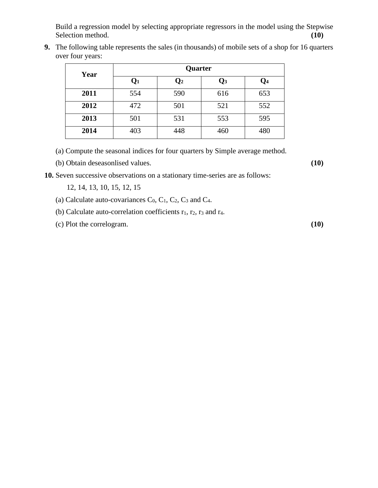Build a regression model by selecting appropriate regressors in the model using the Stepwise Selection method. **(10)** Selection method. **(10)** 

**9.** The following table represents the sales (in thousands) of mobile sets of a shop for 16 quarters over four years:

| Year | Quarter        |                |                |     |  |  |  |  |  |  |
|------|----------------|----------------|----------------|-----|--|--|--|--|--|--|
|      | $\mathbf{Q}_1$ | $\mathbf{Q}_2$ | $\mathbf{Q}_3$ | Q4  |  |  |  |  |  |  |
| 2011 | 554            | 590            | 616            | 653 |  |  |  |  |  |  |
| 2012 | 472            | 501            | 521            | 552 |  |  |  |  |  |  |
| 2013 | 501            | 531            | 553            | 595 |  |  |  |  |  |  |
| 2014 | 403            | 448            | 460            | 480 |  |  |  |  |  |  |

(a) Compute the seasonal indices for four quarters by Simple average method.

(b) Obtain deseasonlised values. **(10)**

**10.** Seven successive observations on a stationary time-series are as follows:

12, 14, 13, 10, 15, 12, 15

- (a) Calculate auto-covariances  $C_0$ ,  $C_1$ ,  $C_2$ ,  $C_3$  and  $C_4$ .
- (b) Calculate auto-correlation coefficients  $r_1$ ,  $r_2$ ,  $r_3$  and  $r_4$ .
- (c) Plot the correlogram. **(10)**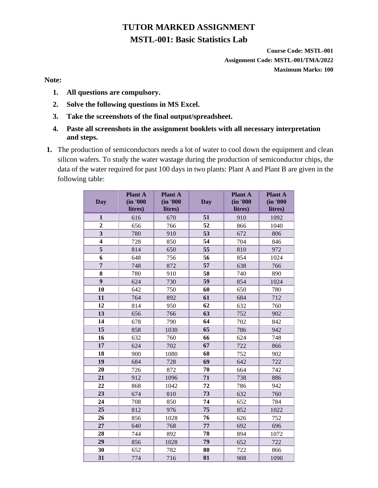# **TUTOR MARKED ASSIGNMENT MSTL-001: Basic Statistics Lab**

**Course Code: MSTL-001 Assignment Code: MSTL-001/TMA/2022 Maximum Marks: 100**

**Note:** 

- **1. All questions are compulsory.**
- **2. Solve the following questions in MS Excel.**
- **3. Take the screenshots of the final output/spreadsheet.**
- **4. Paste all screenshots in the assignment booklets with all necessary interpretation and steps.**
- **1.** The production of semiconductors needs a lot of water to cool down the equipment and clean silicon wafers. To study the water wastage during the production of semiconductor chips, the data of the water required for past 100 days in two plants: Plant A and Plant B are given in the following table:

| <b>Day</b>              | <b>Plant A</b><br>(in '000<br>litres) | <b>Plant A</b><br>(in '000<br>litres) | <b>Day</b> | <b>Plant A</b><br>(in '000<br>litres) | <b>Plant A</b><br>(in '000<br>litres) |
|-------------------------|---------------------------------------|---------------------------------------|------------|---------------------------------------|---------------------------------------|
| $\mathbf{1}$            | 616                                   | 670                                   | 51         | 910                                   | 1092                                  |
| $\overline{2}$          | 656                                   | 766                                   | 52         | 866                                   | 1040                                  |
| $\overline{\mathbf{3}}$ | 780                                   | 910                                   | 53         | 672                                   | 806                                   |
| 4                       | 728                                   | 850                                   | 54         | 704                                   | 846                                   |
| 5                       | 814                                   | 650                                   | 55         | 810                                   | 972                                   |
| 6                       | 648                                   | 756                                   | 56         | 854                                   | 1024                                  |
| $\overline{7}$          | 748                                   | 872                                   | 57         | 638                                   | 766                                   |
| 8                       | 780                                   | 910                                   | 58         | 740                                   | 890                                   |
| $\boldsymbol{9}$        | 624                                   | 730                                   | 59         | 854                                   | 1024                                  |
| 10                      | 642                                   | 750                                   | 60         | 650                                   | 780                                   |
| 11                      | 764                                   | 892                                   | 61         | 684                                   | 712                                   |
| 12                      | 814                                   | 950                                   | 62         | 632                                   | 760                                   |
| 13                      | 656                                   | 766                                   | 63         | 752                                   | 902                                   |
| 14                      | 678                                   | 790                                   | 64         | 702                                   | 842                                   |
| 15                      | 858                                   | 1030                                  | 65         | 786                                   | 942                                   |
| 16                      | 632                                   | 760                                   | 66         | 624                                   | 748                                   |
| 17                      | 624                                   | 702                                   | 67         | 722                                   | 866                                   |
| 18                      | 900                                   | 1080                                  | 68         | 752                                   | 902                                   |
| 19                      | 684                                   | 728                                   | 69         | 642                                   | 722                                   |
| 20                      | 726                                   | 872                                   | 70         | 664                                   | 742                                   |
| 21                      | 912                                   | 1096                                  | 71         | 738                                   | 886                                   |
| 22                      | 868                                   | 1042                                  | 72         | 786                                   | 942                                   |
| 23                      | 674                                   | 810                                   | 73         | 632                                   | 760                                   |
| 24                      | 708                                   | 850                                   | 74         | 652                                   | 784                                   |
| 25                      | 812                                   | 976                                   | 75         | 852                                   | 1022                                  |
| 26                      | 856                                   | 1028                                  | 76         | 626                                   | 752                                   |
| 27                      | 640                                   | 768                                   | 77         | 692                                   | 696                                   |
| 28                      | 744                                   | 892                                   | 78         | 894                                   | 1072                                  |
| 29                      | 856                                   | 1028                                  | 79         | 652                                   | 722                                   |
| 30                      | 652                                   | 782                                   | 80         | 722                                   | 866                                   |
| 31                      | 774                                   | 716                                   | 81         | 908                                   | 1090                                  |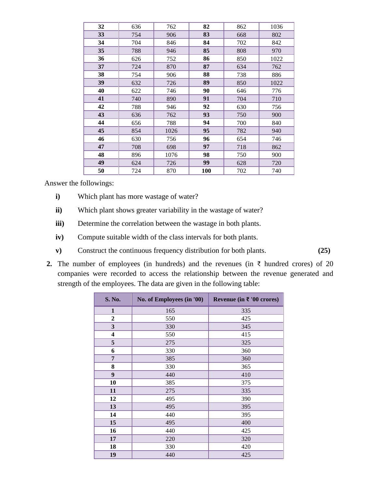| 32 | 636 | 762  | 82         | 862 | 1036 |
|----|-----|------|------------|-----|------|
| 33 | 754 | 906  | 83         | 668 | 802  |
| 34 | 704 | 846  | 84         | 702 | 842  |
| 35 | 788 | 946  | 85         | 808 | 970  |
| 36 | 626 | 752  | 86         | 850 | 1022 |
| 37 | 724 | 870  | 87         | 634 | 762  |
| 38 | 754 | 906  | 88         | 738 | 886  |
| 39 | 632 | 726  | 89         | 850 | 1022 |
| 40 | 622 | 746  | 90         | 646 | 776  |
| 41 | 740 | 890  | 91         | 704 | 710  |
| 42 | 788 | 946  | 92         | 630 | 756  |
| 43 | 636 | 762  | 93         | 750 | 900  |
| 44 | 656 | 788  | 94         | 700 | 840  |
| 45 | 854 | 1026 | 95         | 782 | 940  |
| 46 | 630 | 756  | 96         | 654 | 746  |
| 47 | 708 | 698  | 97         | 718 | 862  |
| 48 | 896 | 1076 | 98         | 750 | 900  |
| 49 | 624 | 726  | 99         | 628 | 720  |
| 50 | 724 | 870  | <b>100</b> | 702 | 740  |

Answer the followings:

- **i)** Which plant has more wastage of water?
- **ii)** Which plant shows greater variability in the wastage of water?
- **iii**) Determine the correlation between the wastage in both plants.
- **iv)** Compute suitable width of the class intervals for both plants.
- **v)** Construct the continuous frequency distribution for both plants. **(25)**
- **2.** The number of employees (in hundreds) and the revenues (in  $\bar{\tau}$  hundred crores) of 20 companies were recorded to access the relationship between the revenue generated and strength of the employees. The data are given in the following table:

| S. No.                  | No. of Employees (in '00) | Revenue (in ₹ '00 crores) |
|-------------------------|---------------------------|---------------------------|
| 1                       | 165                       | 335                       |
| $\boldsymbol{2}$        | 550                       | 425                       |
| $\overline{\mathbf{3}}$ | 330                       | 345                       |
| $\overline{\mathbf{4}}$ | 550                       | 415                       |
| 5                       | 275                       | 325                       |
| 6                       | 330                       | 360                       |
| 7                       | 385                       | 360                       |
| 8                       | 330                       | 365                       |
| 9                       | 440                       | 410                       |
| 10                      | 385                       | 375                       |
| 11                      | 275                       | 335                       |
| 12                      | 495                       | 390                       |
| 13                      | 495                       | 395                       |
| 14                      | 440                       | 395                       |
| 15                      | 495                       | 400                       |
| 16                      | 440                       | 425                       |
| 17                      | 220                       | 320                       |
| 18                      | 330                       | 420                       |
| 19                      | 440                       | 425                       |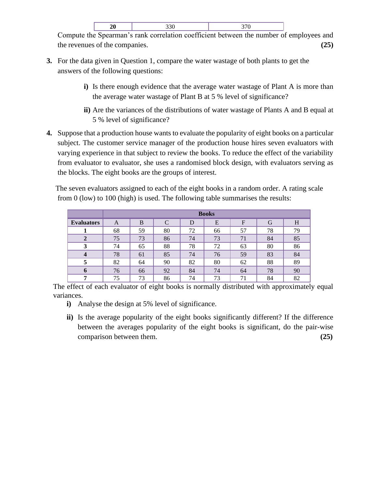Compute the Spearman's rank correlation coefficient between the number of employees and the revenues of the companies. **(25)**

- **3.** For the data given in Question 1, compare the water wastage of both plants to get the answers of the following questions:
	- **i)** Is there enough evidence that the average water wastage of Plant A is more than the average water wastage of Plant B at 5 % level of significance?
	- **ii)** Are the variances of the distributions of water wastage of Plants A and B equal at 5 % level of significance?
- **4.** Suppose that a production house wants to evaluate the popularity of eight books on a particular subject. The customer service manager of the production house hires seven evaluators with varying experience in that subject to review the books. To reduce the effect of the variability from evaluator to evaluator, she uses a randomised block design, with evaluators serving as the blocks. The eight books are the groups of interest.

The seven evaluators assigned to each of the eight books in a random order. A rating scale from 0 (low) to 100 (high) is used. The following table summarises the results:

|                   |    | <b>Books</b> |    |    |    |    |    |    |  |  |
|-------------------|----|--------------|----|----|----|----|----|----|--|--|
| <b>Evaluators</b> | A  | B            |    | D  | E  | F  | G  | H  |  |  |
|                   | 68 | 59           | 80 | 72 | 66 | 57 | 78 | 79 |  |  |
|                   | 75 | 73           | 86 | 74 | 73 | 71 | 84 | 85 |  |  |
| 3                 | 74 | 65           | 88 | 78 | 72 | 63 | 80 | 86 |  |  |
| 4                 | 78 | 61           | 85 | 74 | 76 | 59 | 83 | 84 |  |  |
|                   | 82 | 64           | 90 | 82 | 80 | 62 | 88 | 89 |  |  |
| h                 | 76 | 66           | 92 | 84 | 74 | 64 | 78 | 90 |  |  |
| −                 | 75 | 73           | 86 | 74 | 73 | 71 | 84 | 82 |  |  |

The effect of each evaluator of eight books is normally distributed with approximately equal variances.

- **i)** Analyse the design at 5% level of significance.
- **ii)** Is the average popularity of the eight books significantly different? If the difference between the averages popularity of the eight books is significant, do the pair-wise comparison between them. **(25)**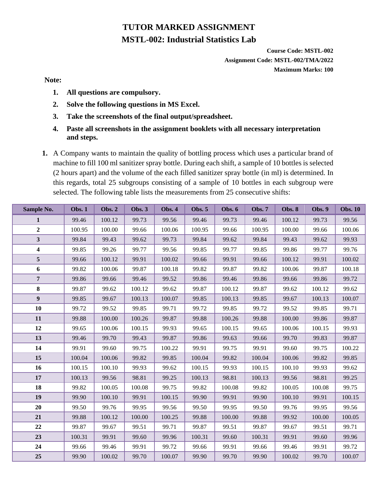# **TUTOR MARKED ASSIGNMENT MSTL-002: Industrial Statistics Lab**

**Course Code: MSTL-002 Assignment Code: MSTL-002/TMA/2022 Maximum Marks: 100**

## **Note:**

- **1. All questions are compulsory.**
- **2. Solve the following questions in MS Excel.**
- **3. Take the screenshots of the final output/spreadsheet.**
- **4. Paste all screenshots in the assignment booklets with all necessary interpretation and steps.**
- **1.** A Company wants to maintain the quality of bottling process which uses a particular brand of machine to fill 100 ml sanitizer spray bottle. During each shift, a sample of 10 bottles is selected (2 hours apart) and the volume of the each filled sanitizer spray bottle (in ml) is determined. In this regards, total 25 subgroups consisting of a sample of 10 bottles in each subgroup were selected. The following table lists the measurements from 25 consecutive shifts:

| Sample No.              | <b>Obs. 1</b> | <b>Obs. 2</b> | <b>Obs. 3</b> | <b>Obs. 4</b> | <b>Obs. 5</b> | <b>Obs. 6</b> | <b>Obs. 7</b> | <b>Obs. 8</b> | <b>Obs. 9</b> | <b>Obs. 10</b> |
|-------------------------|---------------|---------------|---------------|---------------|---------------|---------------|---------------|---------------|---------------|----------------|
| $\mathbf{1}$            | 99.46         | 100.12        | 99.73         | 99.56         | 99.46         | 99.73         | 99.46         | 100.12        | 99.73         | 99.56          |
| $\overline{2}$          | 100.95        | 100.00        | 99.66         | 100.06        | 100.95        | 99.66         | 100.95        | 100.00        | 99.66         | 100.06         |
| $\overline{\mathbf{3}}$ | 99.84         | 99.43         | 99.62         | 99.73         | 99.84         | 99.62         | 99.84         | 99.43         | 99.62         | 99.93          |
| $\overline{\mathbf{4}}$ | 99.85         | 99.26         | 99.77         | 99.56         | 99.85         | 99.77         | 99.85         | 99.86         | 99.77         | 99.76          |
| 5                       | 99.66         | 100.12        | 99.91         | 100.02        | 99.66         | 99.91         | 99.66         | 100.12        | 99.91         | 100.02         |
| 6                       | 99.82         | 100.06        | 99.87         | 100.18        | 99.82         | 99.87         | 99.82         | 100.06        | 99.87         | 100.18         |
| $\overline{7}$          | 99.86         | 99.66         | 99.46         | 99.52         | 99.86         | 99.46         | 99.86         | 99.66         | 99.86         | 99.72          |
| 8                       | 99.87         | 99.62         | 100.12        | 99.62         | 99.87         | 100.12        | 99.87         | 99.62         | 100.12        | 99.62          |
| $\boldsymbol{9}$        | 99.85         | 99.67         | 100.13        | 100.07        | 99.85         | 100.13        | 99.85         | 99.67         | 100.13        | 100.07         |
| 10                      | 99.72         | 99.52         | 99.85         | 99.71         | 99.72         | 99.85         | 99.72         | 99.52         | 99.85         | 99.71          |
| 11                      | 99.88         | 100.00        | 100.26        | 99.87         | 99.88         | 100.26        | 99.88         | 100.00        | 99.86         | 99.87          |
| 12                      | 99.65         | 100.06        | 100.15        | 99.93         | 99.65         | 100.15        | 99.65         | 100.06        | 100.15        | 99.93          |
| 13                      | 99.46         | 99.70         | 99.43         | 99.87         | 99.86         | 99.63         | 99.66         | 99.70         | 99.83         | 99.87          |
| 14                      | 99.91         | 99.60         | 99.75         | 100.22        | 99.91         | 99.75         | 99.91         | 99.60         | 99.75         | 100.22         |
| 15                      | 100.04        | 100.06        | 99.82         | 99.85         | 100.04        | 99.82         | 100.04        | 100.06        | 99.82         | 99.85          |
| 16                      | 100.15        | 100.10        | 99.93         | 99.62         | 100.15        | 99.93         | 100.15        | 100.10        | 99.93         | 99.62          |
| 17                      | 100.13        | 99.56         | 98.81         | 99.25         | 100.13        | 98.81         | 100.13        | 99.56         | 98.81         | 99.25          |
| 18                      | 99.82         | 100.05        | 100.08        | 99.75         | 99.82         | 100.08        | 99.82         | 100.05        | 100.08        | 99.75          |
| 19                      | 99.90         | 100.10        | 99.91         | 100.15        | 99.90         | 99.91         | 99.90         | 100.10        | 99.91         | 100.15         |
| 20                      | 99.50         | 99.76         | 99.95         | 99.56         | 99.50         | 99.95         | 99.50         | 99.76         | 99.95         | 99.56          |
| 21                      | 99.88         | 100.12        | 100.00        | 100.25        | 99.88         | 100.00        | 99.88         | 99.92         | 100.00        | 100.05         |
| 22                      | 99.87         | 99.67         | 99.51         | 99.71         | 99.87         | 99.51         | 99.87         | 99.67         | 99.51         | 99.71          |
| 23                      | 100.31        | 99.91         | 99.60         | 99.96         | 100.31        | 99.60         | 100.31        | 99.91         | 99.60         | 99.96          |
| 24                      | 99.66         | 99.46         | 99.91         | 99.72         | 99.66         | 99.91         | 99.66         | 99.46         | 99.91         | 99.72          |
| 25                      | 99.90         | 100.02        | 99.70         | 100.07        | 99.90         | 99.70         | 99.90         | 100.02        | 99.70         | 100.07         |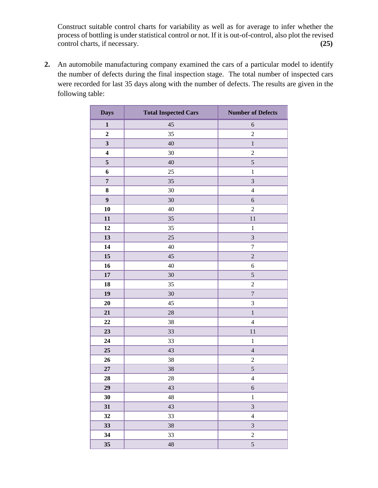Construct suitable control charts for variability as well as for average to infer whether the process of bottling is under statistical control or not. If it is out-of-control, also plot the revised control charts, if necessary. **(25)**

**2.** An automobile manufacturing company examined the cars of a particular model to identify the number of defects during the final inspection stage. The total number of inspected cars were recorded for last 35 days along with the number of defects. The results are given in the following table:

| <b>Days</b>             | <b>Total Inspected Cars</b> | <b>Number of Defects</b> |
|-------------------------|-----------------------------|--------------------------|
| $\mathbf{1}$            | 45                          | 6                        |
| $\boldsymbol{2}$        | 35                          | $\overline{c}$           |
| $\overline{\mathbf{3}}$ | 40                          | $\,1$                    |
| $\boldsymbol{4}$        | 30                          | $\overline{c}$           |
| $\mathbf 5$             | 40                          | 5                        |
| 6                       | 25                          | $\,1$                    |
| $\overline{7}$          | 35                          | 3                        |
| ${\bf 8}$               | $30\,$                      | $\overline{4}$           |
| $\boldsymbol{9}$        | 30                          | $\boldsymbol{6}$         |
| 10                      | 40                          | $\sqrt{2}$               |
| 11                      | 35                          | 11                       |
| 12                      | 35                          | $\,1$                    |
| 13                      | 25                          | $\overline{3}$           |
| 14                      | 40                          | $\sqrt{ }$               |
| 15                      | 45                          | $\overline{c}$           |
| 16                      | 40                          | $\sqrt{6}$               |
| $17\,$                  | 30                          | 5                        |
| 18                      | 35                          | $\overline{2}$           |
| 19                      | 30                          | $\boldsymbol{7}$         |
| 20                      | 45                          | 3                        |
| 21                      | $28\,$                      | $\,1$                    |
| 22                      | 38                          | $\overline{4}$           |
| 23                      | 33                          | 11                       |
| 24                      | 33                          | $\,1$                    |
| 25                      | 43                          | $\sqrt{4}$               |
| 26                      | 38                          | $\overline{c}$           |
| $27\,$                  | 38                          | 5                        |
| 28                      | 28                          | $\overline{4}$           |
| 29                      | 43                          | $\sqrt{6}$               |
| 30                      | $\sqrt{48}$                 | $\,1$                    |
| 31                      | 43                          | $\overline{\mathbf{3}}$  |
| 32                      | 33                          | $\overline{4}$           |
| 33                      | 38                          | 3                        |
| 34                      | 33                          | $\sqrt{2}$               |
| 35                      | 48                          | 5                        |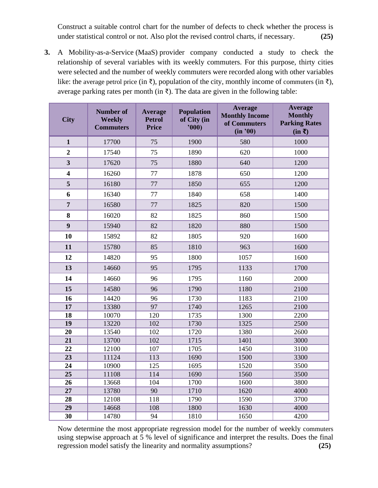Construct a suitable control chart for the number of defects to check whether the process is under statistical control or not. Also plot the revised control charts, if necessary. **(25)**

**3.** A Mobility-as-a-Service (MaaS) provider company conducted a study to check the relationship of several variables with its weekly commuters. For this purpose, thirty cities were selected and the number of weekly commuters were recorded along with other variables like: the average petrol price (in  $\bar{x}$ ), population of the city, monthly income of commuters (in  $\bar{x}$ ), average parking rates per month (in  $\bar{\tau}$ ). The data are given in the following table:

| <b>City</b>             | <b>Number of</b><br><b>Weekly</b><br><b>Commuters</b> | <b>Average</b><br><b>Petrol</b><br><b>Price</b> | <b>Population</b><br>of City (in<br>'000) | <b>Average</b><br><b>Monthly Income</b><br>of Commuters<br>(in '00) | <b>Average</b><br><b>Monthly</b><br><b>Parking Rates</b><br>$(in \bar{z})$ |
|-------------------------|-------------------------------------------------------|-------------------------------------------------|-------------------------------------------|---------------------------------------------------------------------|----------------------------------------------------------------------------|
| $\mathbf{1}$            | 17700                                                 | 75                                              | 1900                                      | 580                                                                 | 1000                                                                       |
| $\overline{2}$          | 17540                                                 | 75                                              | 1890                                      | 620                                                                 | 1000                                                                       |
| $\overline{\mathbf{3}}$ | 17620                                                 | 75                                              | 1880                                      | 640                                                                 | 1200                                                                       |
| $\overline{\mathbf{4}}$ | 16260                                                 | 77                                              | 1878                                      | 650                                                                 | 1200                                                                       |
| 5                       | 16180                                                 | 77                                              | 1850                                      | 655                                                                 | 1200                                                                       |
| 6                       | 16340                                                 | 77                                              | 1840                                      | 658                                                                 | 1400                                                                       |
| $\overline{7}$          | 16580                                                 | 77                                              | 1825                                      | 820                                                                 | 1500                                                                       |
| 8                       | 16020                                                 | 82                                              | 1825                                      | 860                                                                 | 1500                                                                       |
| $\boldsymbol{9}$        | 15940                                                 | 82                                              | 1820                                      | 880                                                                 | 1500                                                                       |
| 10                      | 15892                                                 | 82                                              | 1805                                      | 920                                                                 | 1600                                                                       |
| 11                      | 15780                                                 | 85                                              | 1810                                      | 963                                                                 | 1600                                                                       |
| 12                      | 14820                                                 | 95                                              | 1800                                      | 1057                                                                | 1600                                                                       |
| 13                      | 14660                                                 | 95                                              | 1795                                      | 1133                                                                | 1700                                                                       |
| 14                      | 14660                                                 | 96                                              | 1795                                      | 1160                                                                | 2000                                                                       |
| 15                      | 14580                                                 | 96                                              | 1790                                      | 1180                                                                | 2100                                                                       |
| 16                      | 14420                                                 | 96                                              | 1730                                      | 1183                                                                | 2100                                                                       |
| 17                      | 13380                                                 | $\overline{97}$                                 | 1740                                      | 1265                                                                | 2100                                                                       |
| 18                      | 10070                                                 | 120                                             | 1735                                      | 1300                                                                | 2200                                                                       |
| 19                      | 13220                                                 | 102                                             | 1730                                      | 1325                                                                | 2500                                                                       |
| 20                      | 13540                                                 | 102                                             | 1720                                      | 1380                                                                | 2600                                                                       |
| 21                      | 13700                                                 | 102                                             | 1715                                      | 1401                                                                | 3000                                                                       |
| 22                      | 12100                                                 | 107                                             | 1705                                      | 1450                                                                | 3100                                                                       |
| $\overline{23}$         | 11124                                                 | 113                                             | 1690                                      | 1500                                                                | 3300                                                                       |
| 24                      | 10900                                                 | 125                                             | 1695                                      | 1520                                                                | 3500                                                                       |
| 25                      | 11108                                                 | 114                                             | 1690                                      | 1560                                                                | 3500                                                                       |
| 26                      | 13668                                                 | 104                                             | 1700                                      | 1600                                                                | 3800                                                                       |
| 27                      | 13780                                                 | 90                                              | 1710                                      | 1620                                                                | 4000                                                                       |
| 28                      | 12108                                                 | 118                                             | 1790                                      | 1590                                                                | 3700                                                                       |
| 29                      | 14668                                                 | 108                                             | 1800                                      | 1630                                                                | 4000                                                                       |
| $\overline{30}$         | 14780                                                 | 94                                              | 1810                                      | 1650                                                                | 4200                                                                       |

Now determine the most appropriate regression model for the number of weekly commuters using stepwise approach at 5 % level of significance and interpret the results. Does the final regression model satisfy the linearity and normality assumptions? **(25)**